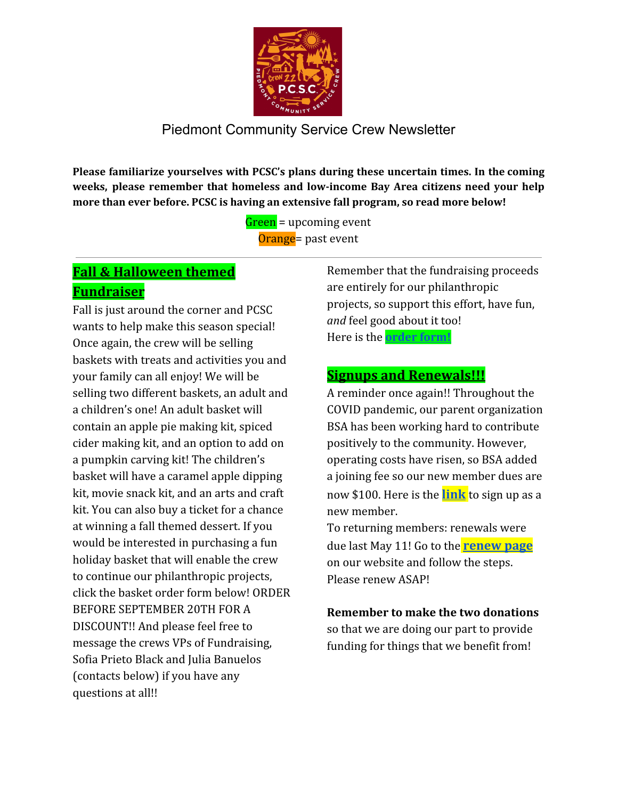

**Please familiarize yourselves with PCSC's plans during these uncertain times. In the coming weeks, please remember that homeless and low-income Bay Area citizens need your help more than ever before. PCSC is having an extensive fall program, so read more below!**

> Green = upcoming event Orange = past event

## **Fall & Halloween themed Fundraiser**

Fall is just around the corner and PCSC wants to help make this season special! Once again, the crew will be selling baskets with treats and activities you and your family can all enjoy! We will be selling two different baskets, an adult and a children's one! An adult basket will contain an apple pie making kit, spiced cider making kit, and an option to add on a pumpkin carving kit! The children's basket will have a caramel apple dipping kit, movie snack kit, and an arts and craft kit. You can also buy a ticket for a chance at winning a fall themed dessert. If you would be interested in purchasing a fun holiday basket that will enable the crew to continue our philanthropic projects, click the basket order form below! ORDER BEFORE SEPTEMBER 20TH FOR A DISCOUNT!! And please feel free to message the crews VPs of Fundraising, Sofia Prieto Black and Julia Banuelos (contacts below) if you have any questions at all!!

Remember that the fundraising proceeds are entirely for our philanthropic projects, so support this effort, have fun, *and* feel good about it too! Here is the **[order form!](https://forms.gle/LBVw9dktmtxVuZJb7)**

#### **Signups and Renewals!!!**

A reminder once again!! Throughout the COVID pandemic, our parent organization BSA has been working hard to contribute positively to the community. However, operating costs have risen, so BSA added a joining fee so our new member dues are now \$100. Here is the **[link](https://www.pcservicecrew.org/new-member)** to sign up as a new member.

To returning members: renewals were due last May 11! Go to the **[renew](https://www.pcservicecrew.org/renewing-member) page** on our website and follow the steps. Please renew ASAP!

**Remember to make the two donations** so that we are doing our part to provide funding for things that we benefit from!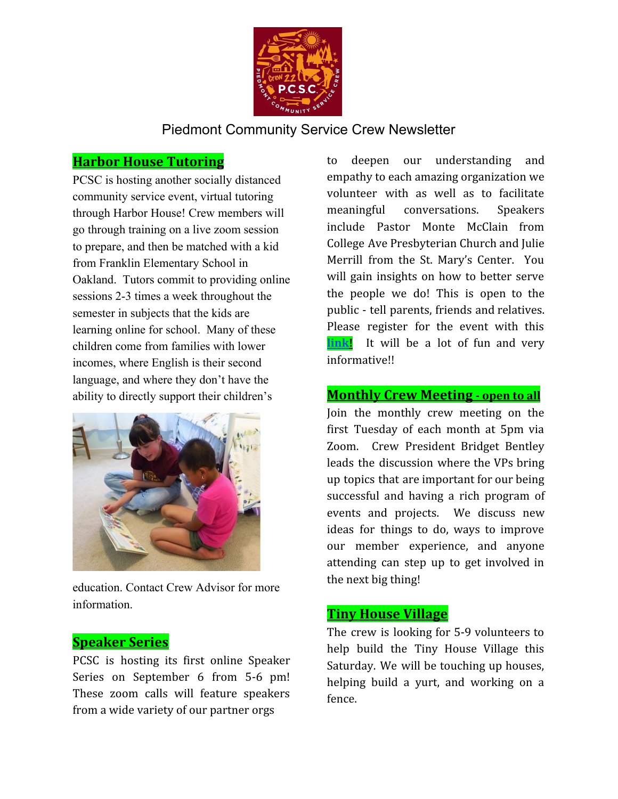

#### **Harbor House Tutoring**

PCSC is hosting another socially distanced community service event, virtual tutoring through Harbor House! Crew members will go through training on a live zoom session to prepare, and then be matched with a kid from Franklin Elementary School in Oakland. Tutors commit to providing online sessions 2-3 times a week throughout the semester in subjects that the kids are learning online for school. Many of these children come from families with lower incomes, where English is their second language, and where they don't have the ability to directly support their children's



education. Contact Crew Advisor for more information.

#### **Speaker Series**

PCSC is hosting its first online Speaker Series on September 6 from 5-6 pm! These zoom calls will feature speakers from a wide variety of our partner orgs

to deepen our understanding and empathy to each amazing organization we volunteer with as well as to facilitate meaningful conversations. Speakers include Pastor Monte McClain from College Ave Presbyterian Church and Julie Merrill from the St. Mary's Center. You will gain insights on how to better serve the people we do! This is open to the public - tell parents, friends and relatives. Please register for the event with this **[link!](https://forms.gle/gRV6xVy3c5pSvb4w8)** It will be a lot of fun and very informative!!

#### **Monthly Crew Meeting - open to all**

Join the monthly crew meeting on the first Tuesday of each month at 5pm via Zoom. Crew President Bridget Bentley leads the discussion where the VPs bring up topics that are important for our being successful and having a rich program of events and projects. We discuss new ideas for things to do, ways to improve our member experience, and anyone attending can step up to get involved in the next big thing!

### **Tiny House Village**

The crew is looking for 5-9 volunteers to help build the Tiny House Village this Saturday. We will be touching up houses, helping build a yurt, and working on a fence.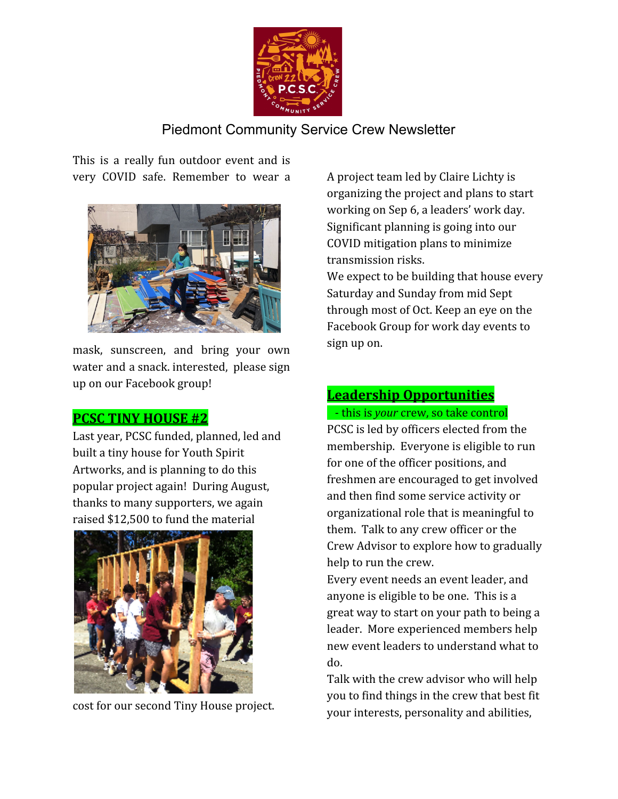

This is a really fun outdoor event and is very COVID safe. Remember to wear a



mask, sunscreen, and bring your own water and a snack. interested, please sign up on our Facebook group!

#### **PCSC TINY HOUSE #2**

Last year, PCSC funded, planned, led and built a tiny house for Youth Spirit Artworks, and is planning to do this popular project again! During August, thanks to many supporters, we again raised \$12,500 to fund the material



cost for our second Tiny House project.

A project team led by Claire Lichty is organizing the project and plans to start working on Sep 6, a leaders' work day. Significant planning is going into our COVID mitigation plans to minimize transmission risks.

We expect to be building that house every Saturday and Sunday from mid Sept through most of Oct. Keep an eye on the Facebook Group for work day events to sign up on.

# **Leadership Opportunities**

- this is *your* crew, so take control

PCSC is led by officers elected from the membership. Everyone is eligible to run for one of the officer positions, and freshmen are encouraged to get involved and then find some service activity or organizational role that is meaningful to them. Talk to any crew officer or the Crew Advisor to explore how to gradually help to run the crew.

Every event needs an event leader, and anyone is eligible to be one. This is a great way to start on your path to being a leader. More experienced members help new event leaders to understand what to do.

Talk with the crew advisor who will help you to find things in the crew that best fit your interests, personality and abilities,